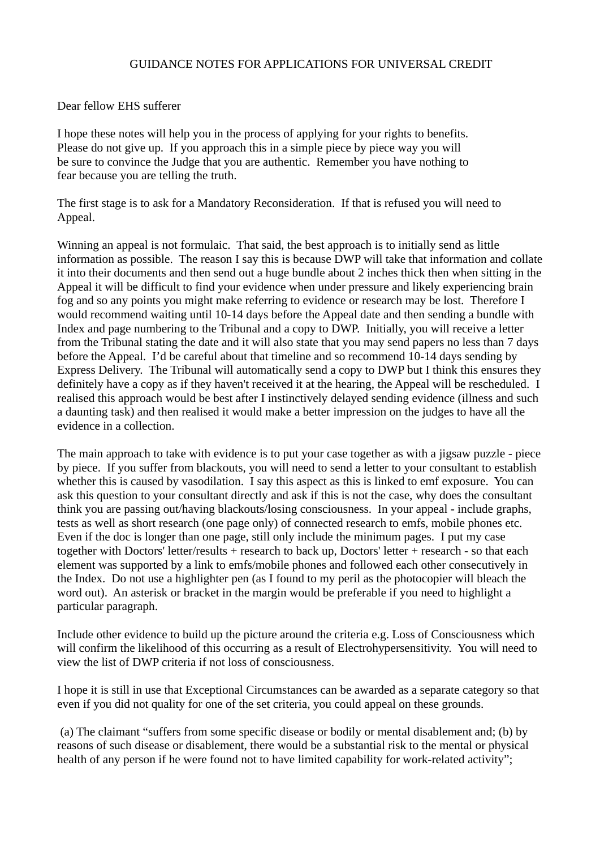## GUIDANCE NOTES FOR APPLICATIONS FOR UNIVERSAL CREDIT

## Dear fellow EHS sufferer

I hope these notes will help you in the process of applying for your rights to benefits. Please do not give up. If you approach this in a simple piece by piece way you will be sure to convince the Judge that you are authentic. Remember you have nothing to fear because you are telling the truth.

The first stage is to ask for a Mandatory Reconsideration. If that is refused you will need to Appeal.

Winning an appeal is not formulaic. That said, the best approach is to initially send as little information as possible. The reason I say this is because DWP will take that information and collate it into their documents and then send out a huge bundle about 2 inches thick then when sitting in the Appeal it will be difficult to find your evidence when under pressure and likely experiencing brain fog and so any points you might make referring to evidence or research may be lost. Therefore I would recommend waiting until 10-14 days before the Appeal date and then sending a bundle with Index and page numbering to the Tribunal and a copy to DWP. Initially, you will receive a letter from the Tribunal stating the date and it will also state that you may send papers no less than 7 days before the Appeal. I'd be careful about that timeline and so recommend 10-14 days sending by Express Delivery. The Tribunal will automatically send a copy to DWP but I think this ensures they definitely have a copy as if they haven't received it at the hearing, the Appeal will be rescheduled. I realised this approach would be best after I instinctively delayed sending evidence (illness and such a daunting task) and then realised it would make a better impression on the judges to have all the evidence in a collection.

The main approach to take with evidence is to put your case together as with a jigsaw puzzle - piece by piece. If you suffer from blackouts, you will need to send a letter to your consultant to establish whether this is caused by vasodilation. I say this aspect as this is linked to emf exposure. You can ask this question to your consultant directly and ask if this is not the case, why does the consultant think you are passing out/having blackouts/losing consciousness. In your appeal - include graphs, tests as well as short research (one page only) of connected research to emfs, mobile phones etc. Even if the doc is longer than one page, still only include the minimum pages. I put my case together with Doctors' letter/results + research to back up, Doctors' letter + research - so that each element was supported by a link to emfs/mobile phones and followed each other consecutively in the Index. Do not use a highlighter pen (as I found to my peril as the photocopier will bleach the word out). An asterisk or bracket in the margin would be preferable if you need to highlight a particular paragraph.

Include other evidence to build up the picture around the criteria e.g. Loss of Consciousness which will confirm the likelihood of this occurring as a result of Electrohypersensitivity. You will need to view the list of DWP criteria if not loss of consciousness.

I hope it is still in use that Exceptional Circumstances can be awarded as a separate category so that even if you did not quality for one of the set criteria, you could appeal on these grounds.

(a) The claimant "suffers from some specific disease or bodily or mental disablement and; (b) by reasons of such disease or disablement, there would be a substantial risk to the mental or physical health of any person if he were found not to have limited capability for work-related activity";